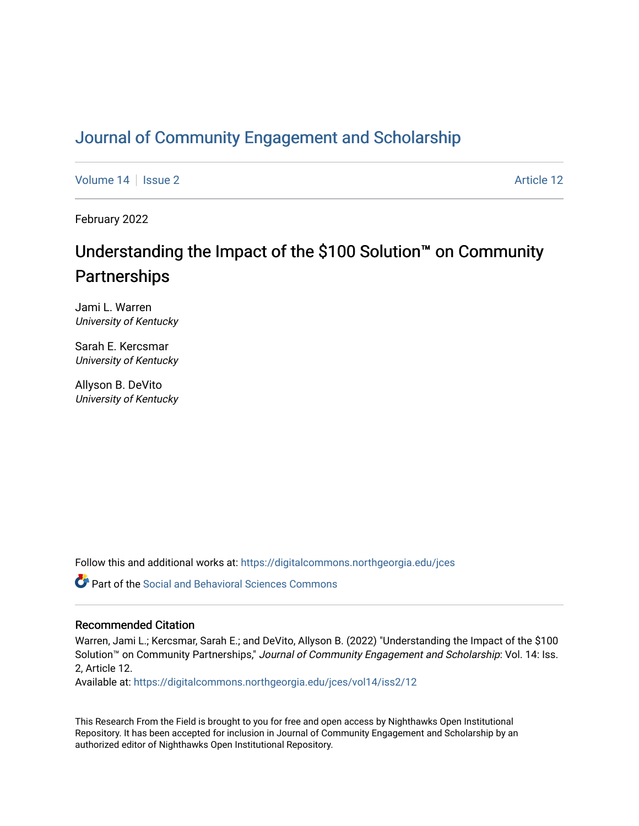# [Journal of Community Engagement and Scholarship](https://digitalcommons.northgeorgia.edu/jces)

[Volume 14](https://digitalcommons.northgeorgia.edu/jces/vol14) | [Issue 2](https://digitalcommons.northgeorgia.edu/jces/vol14/iss2) Article 12

February 2022

# Understanding the Impact of the \$100 Solution™ on Community **Partnerships**

Jami L. Warren University of Kentucky

Sarah E. Kercsmar University of Kentucky

Allyson B. DeVito University of Kentucky

Follow this and additional works at: [https://digitalcommons.northgeorgia.edu/jces](https://digitalcommons.northgeorgia.edu/jces?utm_source=digitalcommons.northgeorgia.edu%2Fjces%2Fvol14%2Fiss2%2F12&utm_medium=PDF&utm_campaign=PDFCoverPages)

**C** Part of the Social and Behavioral Sciences Commons

# Recommended Citation

Warren, Jami L.; Kercsmar, Sarah E.; and DeVito, Allyson B. (2022) "Understanding the Impact of the \$100 Solution™ on Community Partnerships," Journal of Community Engagement and Scholarship: Vol. 14: Iss. 2, Article 12.

Available at: [https://digitalcommons.northgeorgia.edu/jces/vol14/iss2/12](https://digitalcommons.northgeorgia.edu/jces/vol14/iss2/12?utm_source=digitalcommons.northgeorgia.edu%2Fjces%2Fvol14%2Fiss2%2F12&utm_medium=PDF&utm_campaign=PDFCoverPages) 

This Research From the Field is brought to you for free and open access by Nighthawks Open Institutional Repository. It has been accepted for inclusion in Journal of Community Engagement and Scholarship by an authorized editor of Nighthawks Open Institutional Repository.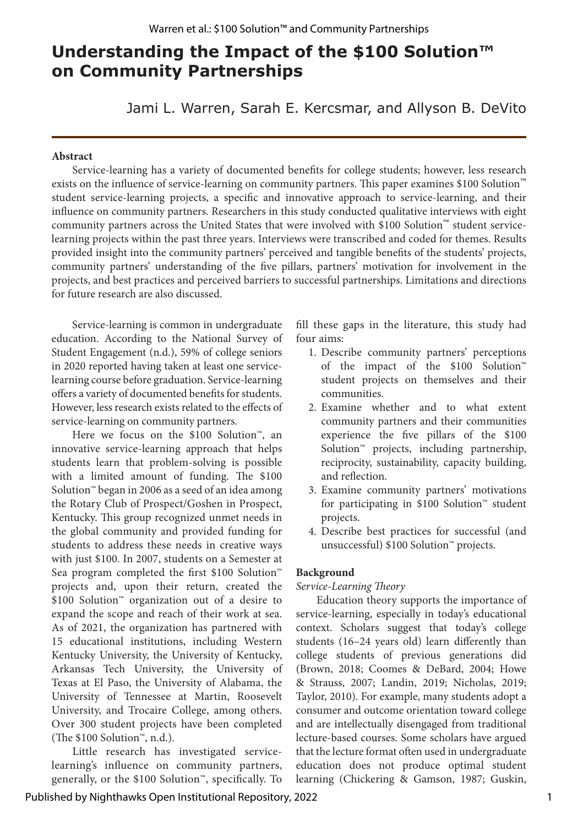# **Understanding the Impact of the \$100 Solution™ on Community Partnerships**

Jami L. Warren, Sarah E. Kercsmar, and Allyson B. DeVito

#### **Abstract**

Service-learning has a variety of documented benefits for college students; however, less research exists on the influence of service-learning on community partners. This paper examines \$100 Solution™ student service-learning projects, a specific and innovative approach to service-learning, and their influence on community partners. Researchers in this study conducted qualitative interviews with eight community partners across the United States that were involved with \$100 Solution™ student servicelearning projects within the past three years. Interviews were transcribed and coded for themes. Results provided insight into the community partners' perceived and tangible benefits of the students' projects, community partners' understanding of the five pillars, partners' motivation for involvement in the projects, and best practices and perceived barriers to successful partnerships. Limitations and directions for future research are also discussed.

Service-learning is common in undergraduate education. According to the National Survey of Student Engagement (n.d.), 59% of college seniors in 2020 reported having taken at least one servicelearning course before graduation. Service-learning offers a variety of documented benefits for students. However, less research exists related to the effects of service-learning on community partners.

Here we focus on the \$100 Solution™, an innovative service-learning approach that helps students learn that problem-solving is possible with a limited amount of funding. The \$100 Solution™ began in 2006 as a seed of an idea among the Rotary Club of Prospect/Goshen in Prospect, Kentucky. This group recognized unmet needs in the global community and provided funding for students to address these needs in creative ways with just \$100. In 2007, students on a Semester at Sea program completed the first \$100 Solution™ projects and, upon their return, created the \$100 Solution™ organization out of a desire to expand the scope and reach of their work at sea. As of 2021, the organization has partnered with 15 educational institutions, including Western Kentucky University, the University of Kentucky, Arkansas Tech University, the University of Texas at El Paso, the University of Alabama, the University of Tennessee at Martin, Roosevelt University, and Trocaire College, among others. Over 300 student projects have been completed (The \$100 Solution™, n.d.).

Little research has investigated servicelearning's influence on community partners, generally, or the \$100 Solution™, specifically. To fill these gaps in the literature, this study had four aims:

- 1. Describe community partners' perceptions of the impact of the \$100 Solution™ student projects on themselves and their communities.
- 2. Examine whether and to what extent community partners and their communities experience the five pillars of the \$100 Solution™ projects, including partnership, reciprocity, sustainability, capacity building, and reflection.
- 3. Examine community partners' motivations for participating in \$100 Solution™ student projects.
- 4. Describe best practices for successful (and unsuccessful) \$100 Solution™ projects.

# **Background**

#### *Service-Learning Theory*

Education theory supports the importance of service-learning, especially in today's educational context. Scholars suggest that today's college students (16–24 years old) learn differently than college students of previous generations did (Brown, 2018; Coomes & DeBard, 2004; Howe & Strauss, 2007; Landin, 2019; Nicholas, 2019; Taylor, 2010). For example, many students adopt a consumer and outcome orientation toward college and are intellectually disengaged from traditional lecture-based courses. Some scholars have argued that the lecture format often used in undergraduate education does not produce optimal student learning (Chickering & Gamson, 1987; Guskin,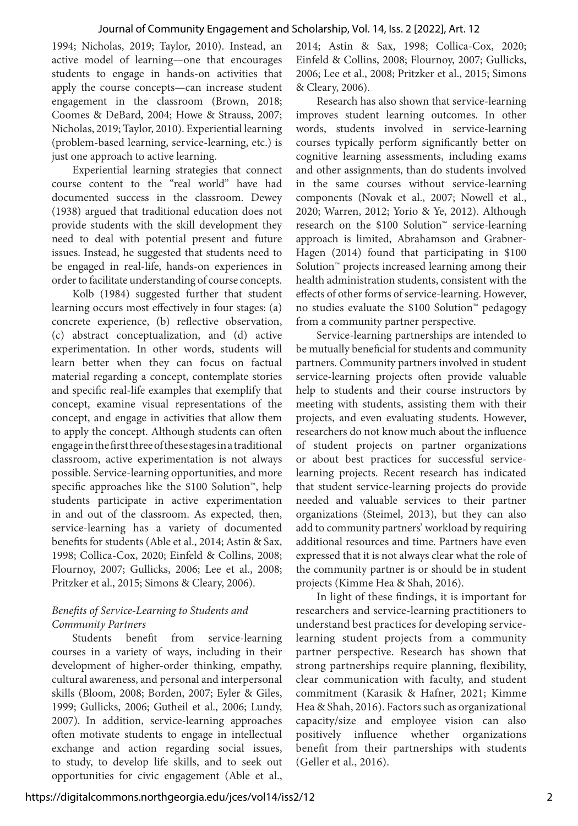1994; Nicholas, 2019; Taylor, 2010). Instead, an active model of learning—one that encourages students to engage in hands-on activities that apply the course concepts—can increase student engagement in the classroom (Brown, 2018; Coomes & DeBard, 2004; Howe & Strauss, 2007; Nicholas, 2019; Taylor, 2010). Experiential learning (problem-based learning, service-learning, etc.) is just one approach to active learning.

Experiential learning strategies that connect course content to the "real world" have had documented success in the classroom. Dewey (1938) argued that traditional education does not provide students with the skill development they need to deal with potential present and future issues. Instead, he suggested that students need to be engaged in real-life, hands-on experiences in order to facilitate understanding of course concepts.

Kolb (1984) suggested further that student learning occurs most effectively in four stages: (a) concrete experience, (b) reflective observation, (c) abstract conceptualization, and (d) active experimentation. In other words, students will learn better when they can focus on factual material regarding a concept, contemplate stories and specific real-life examples that exemplify that concept, examine visual representations of the concept, and engage in activities that allow them to apply the concept. Although students can often engage in the first three of these stages in a traditional classroom, active experimentation is not always possible. Service-learning opportunities, and more specific approaches like the \$100 Solution™, help students participate in active experimentation in and out of the classroom. As expected, then, service-learning has a variety of documented benefits for students (Able et al., 2014; Astin & Sax, 1998; Collica-Cox, 2020; Einfeld & Collins, 2008; Flournoy, 2007; Gullicks, 2006; Lee et al., 2008; Pritzker et al., 2015; Simons & Cleary, 2006).

# *Benefits of Service-Learning to Students and Community Partners*

Students benefit from service-learning courses in a variety of ways, including in their development of higher-order thinking, empathy, cultural awareness, and personal and interpersonal skills (Bloom, 2008; Borden, 2007; Eyler & Giles, 1999; Gullicks, 2006; Gutheil et al., 2006; Lundy, 2007). In addition, service-learning approaches often motivate students to engage in intellectual exchange and action regarding social issues, to study, to develop life skills, and to seek out opportunities for civic engagement (Able et al.,

2014; Astin & Sax, 1998; Collica-Cox, 2020; Einfeld & Collins, 2008; Flournoy, 2007; Gullicks, 2006; Lee et al., 2008; Pritzker et al., 2015; Simons & Cleary, 2006).

Research has also shown that service-learning improves student learning outcomes. In other words, students involved in service-learning courses typically perform significantly better on cognitive learning assessments, including exams and other assignments, than do students involved in the same courses without service-learning components (Novak et al., 2007; Nowell et al., 2020; Warren, 2012; Yorio & Ye, 2012). Although research on the \$100 Solution™ service-learning approach is limited, Abrahamson and Grabner-Hagen (2014) found that participating in \$100 Solution™ projects increased learning among their health administration students, consistent with the effects of other forms of service-learning. However, no studies evaluate the \$100 Solution™ pedagogy from a community partner perspective.

Service-learning partnerships are intended to be mutually beneficial for students and community partners. Community partners involved in student service-learning projects often provide valuable help to students and their course instructors by meeting with students, assisting them with their projects, and even evaluating students. However, researchers do not know much about the influence of student projects on partner organizations or about best practices for successful servicelearning projects. Recent research has indicated that student service-learning projects do provide needed and valuable services to their partner organizations (Steimel, 2013), but they can also add to community partners' workload by requiring additional resources and time. Partners have even expressed that it is not always clear what the role of the community partner is or should be in student projects (Kimme Hea & Shah, 2016).

In light of these findings, it is important for researchers and service-learning practitioners to understand best practices for developing servicelearning student projects from a community partner perspective. Research has shown that strong partnerships require planning, flexibility, clear communication with faculty, and student commitment (Karasik & Hafner, 2021; Kimme Hea & Shah, 2016). Factors such as organizational capacity/size and employee vision can also positively influence whether organizations benefit from their partnerships with students (Geller et al., 2016).

https://digitalcommons.northgeorgia.edu/jces/vol14/iss2/12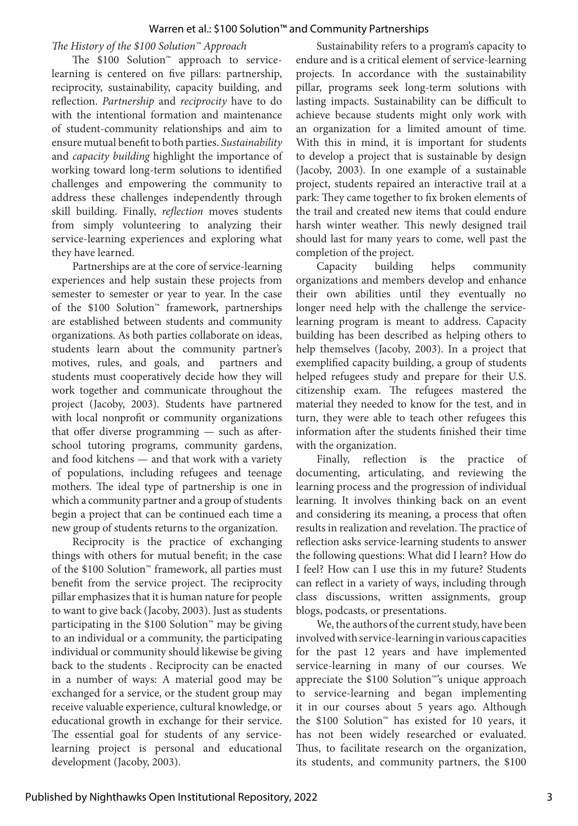#### *The History of the \$100 Solution™ Approach*

The \$100 Solution™ approach to servicelearning is centered on five pillars: partnership, reciprocity, sustainability, capacity building, and reflection. *Partnership* and *reciprocity* have to do with the intentional formation and maintenance of student-community relationships and aim to ensure mutual benefit to both parties. *Sustainability* and *capacity building* highlight the importance of working toward long-term solutions to identified challenges and empowering the community to address these challenges independently through skill building. Finally, *reflection* moves students from simply volunteering to analyzing their service-learning experiences and exploring what they have learned.

Partnerships are at the core of service-learning experiences and help sustain these projects from semester to semester or year to year. In the case of the \$100 Solution™ framework, partnerships are established between students and community organizations. As both parties collaborate on ideas, students learn about the community partner's motives, rules, and goals, and partners and students must cooperatively decide how they will work together and communicate throughout the project (Jacoby, 2003). Students have partnered with local nonprofit or community organizations that offer diverse programming — such as afterschool tutoring programs, community gardens, and food kitchens — and that work with a variety of populations, including refugees and teenage mothers. The ideal type of partnership is one in which a community partner and a group of students begin a project that can be continued each time a new group of students returns to the organization.

Reciprocity is the practice of exchanging things with others for mutual benefit; in the case of the \$100 Solution™ framework, all parties must benefit from the service project. The reciprocity pillar emphasizes that it is human nature for people to want to give back (Jacoby, 2003). Just as students participating in the \$100 Solution™ may be giving to an individual or a community, the participating individual or community should likewise be giving back to the students . Reciprocity can be enacted in a number of ways: A material good may be exchanged for a service, or the student group may receive valuable experience, cultural knowledge, or educational growth in exchange for their service. The essential goal for students of any servicelearning project is personal and educational development (Jacoby, 2003).

Sustainability refers to a program's capacity to endure and is a critical element of service-learning projects. In accordance with the sustainability pillar, programs seek long-term solutions with lasting impacts. Sustainability can be difficult to achieve because students might only work with an organization for a limited amount of time. With this in mind, it is important for students to develop a project that is sustainable by design (Jacoby, 2003). In one example of a sustainable project, students repaired an interactive trail at a park: They came together to fix broken elements of the trail and created new items that could endure harsh winter weather. This newly designed trail should last for many years to come, well past the completion of the project.

Capacity building helps community organizations and members develop and enhance their own abilities until they eventually no longer need help with the challenge the servicelearning program is meant to address. Capacity building has been described as helping others to help themselves (Jacoby, 2003). In a project that exemplified capacity building, a group of students helped refugees study and prepare for their U.S. citizenship exam. The refugees mastered the material they needed to know for the test, and in turn, they were able to teach other refugees this information after the students finished their time with the organization.

Finally, reflection is the practice documenting, articulating, and reviewing the learning process and the progression of individual learning. It involves thinking back on an event and considering its meaning, a process that often results in realization and revelation. The practice of reflection asks service-learning students to answer the following questions: What did I learn? How do I feel? How can I use this in my future? Students can reflect in a variety of ways, including through class discussions, written assignments, group blogs, podcasts, or presentations.

We, the authors of the current study, have been involved with service-learning in various capacities for the past 12 years and have implemented service-learning in many of our courses. We appreciate the \$100 Solution™'s unique approach to service-learning and began implementing it in our courses about 5 years ago. Although the \$100 Solution™ has existed for 10 years, it has not been widely researched or evaluated. Thus, to facilitate research on the organization, its students, and community partners, the \$100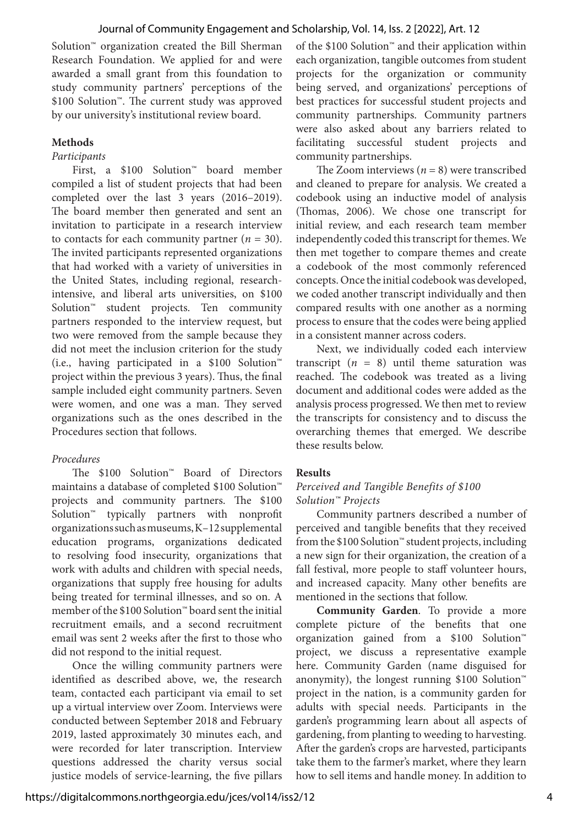Solution™ organization created the Bill Sherman Research Foundation. We applied for and were awarded a small grant from this foundation to study community partners' perceptions of the \$100 Solution™. The current study was approved by our university's institutional review board.

#### **Methods**

#### *Participants*

First, a \$100 Solution™ board member compiled a list of student projects that had been completed over the last 3 years (2016–2019). The board member then generated and sent an invitation to participate in a research interview to contacts for each community partner  $(n = 30)$ . The invited participants represented organizations that had worked with a variety of universities in the United States, including regional, researchintensive, and liberal arts universities, on \$100 Solution™ student projects. Ten community partners responded to the interview request, but two were removed from the sample because they did not meet the inclusion criterion for the study (i.e., having participated in a \$100 Solution™ project within the previous 3 years). Thus, the final sample included eight community partners. Seven were women, and one was a man. They served organizations such as the ones described in the Procedures section that follows.

# *Procedures*

The \$100 Solution™ Board of Directors maintains a database of completed \$100 Solution™ projects and community partners. The \$100 Solution™ typically partners with nonprofit organizations such as museums, K–12 supplemental education programs, organizations dedicated to resolving food insecurity, organizations that work with adults and children with special needs, organizations that supply free housing for adults being treated for terminal illnesses, and so on. A member of the \$100 Solution™ board sent the initial recruitment emails, and a second recruitment email was sent 2 weeks after the first to those who did not respond to the initial request.

Once the willing community partners were identified as described above, we, the research team, contacted each participant via email to set up a virtual interview over Zoom. Interviews were conducted between September 2018 and February 2019, lasted approximately 30 minutes each, and were recorded for later transcription. Interview questions addressed the charity versus social justice models of service-learning, the five pillars

of the \$100 Solution™ and their application within each organization, tangible outcomes from student projects for the organization or community being served, and organizations' perceptions of best practices for successful student projects and community partnerships. Community partners were also asked about any barriers related to facilitating successful student projects and community partnerships.

The Zoom interviews  $(n = 8)$  were transcribed and cleaned to prepare for analysis. We created a codebook using an inductive model of analysis (Thomas, 2006). We chose one transcript for initial review, and each research team member independently coded this transcript for themes. We then met together to compare themes and create a codebook of the most commonly referenced concepts. Once the initial codebook was developed, we coded another transcript individually and then compared results with one another as a norming process to ensure that the codes were being applied in a consistent manner across coders.

Next, we individually coded each interview transcript  $(n = 8)$  until theme saturation was reached. The codebook was treated as a living document and additional codes were added as the analysis process progressed. We then met to review the transcripts for consistency and to discuss the overarching themes that emerged. We describe these results below.

# **Results**

#### *Perceived and Tangible Benefits of \$100 Solution™ Projects*

Community partners described a number of perceived and tangible benefits that they received from the \$100 Solution™ student projects, including a new sign for their organization, the creation of a fall festival, more people to staff volunteer hours, and increased capacity. Many other benefits are mentioned in the sections that follow.

**Community Garden**. To provide a more complete picture of the benefits that one organization gained from a \$100 Solution™ project, we discuss a representative example here. Community Garden (name disguised for anonymity), the longest running \$100 Solution™ project in the nation, is a community garden for adults with special needs. Participants in the garden's programming learn about all aspects of gardening, from planting to weeding to harvesting. After the garden's crops are harvested, participants take them to the farmer's market, where they learn how to sell items and handle money. In addition to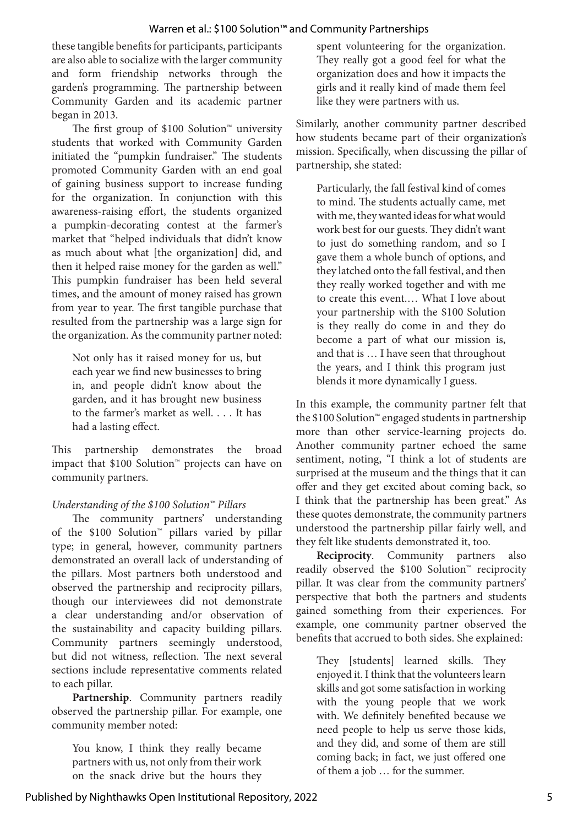these tangible benefits for participants, participants are also able to socialize with the larger community and form friendship networks through the garden's programming. The partnership between Community Garden and its academic partner began in 2013.

The first group of \$100 Solution™ university students that worked with Community Garden initiated the "pumpkin fundraiser." The students promoted Community Garden with an end goal of gaining business support to increase funding for the organization. In conjunction with this awareness-raising effort, the students organized a pumpkin-decorating contest at the farmer's market that "helped individuals that didn't know as much about what [the organization] did, and then it helped raise money for the garden as well." This pumpkin fundraiser has been held several times, and the amount of money raised has grown from year to year. The first tangible purchase that resulted from the partnership was a large sign for the organization. As the community partner noted:

Not only has it raised money for us, but each year we find new businesses to bring in, and people didn't know about the garden, and it has brought new business to the farmer's market as well. . . . It has had a lasting effect.

This partnership demonstrates the broad impact that \$100 Solution™ projects can have on community partners.

# *Understanding of the \$100 Solution™ Pillars*

The community partners' understanding of the \$100 Solution™ pillars varied by pillar type; in general, however, community partners demonstrated an overall lack of understanding of the pillars. Most partners both understood and observed the partnership and reciprocity pillars, though our interviewees did not demonstrate a clear understanding and/or observation of the sustainability and capacity building pillars. Community partners seemingly understood, but did not witness, reflection. The next several sections include representative comments related to each pillar.

**Partnership**. Community partners readily observed the partnership pillar. For example, one community member noted:

You know, I think they really became partners with us, not only from their work on the snack drive but the hours they spent volunteering for the organization. They really got a good feel for what the organization does and how it impacts the girls and it really kind of made them feel like they were partners with us.

Similarly, another community partner described how students became part of their organization's mission. Specifically, when discussing the pillar of partnership, she stated:

Particularly, the fall festival kind of comes to mind. The students actually came, met with me, they wanted ideas for what would work best for our guests. They didn't want to just do something random, and so I gave them a whole bunch of options, and they latched onto the fall festival, and then they really worked together and with me to create this event.… What I love about your partnership with the \$100 Solution is they really do come in and they do become a part of what our mission is, and that is … I have seen that throughout the years, and I think this program just blends it more dynamically I guess.

In this example, the community partner felt that the \$100 Solution™ engaged students in partnership more than other service-learning projects do. Another community partner echoed the same sentiment, noting, "I think a lot of students are surprised at the museum and the things that it can offer and they get excited about coming back, so I think that the partnership has been great." As these quotes demonstrate, the community partners understood the partnership pillar fairly well, and they felt like students demonstrated it, too.

**Reciprocity**. Community partners also readily observed the \$100 Solution™ reciprocity pillar. It was clear from the community partners' perspective that both the partners and students gained something from their experiences. For example, one community partner observed the benefits that accrued to both sides. She explained:

They [students] learned skills. They enjoyed it. I think that the volunteers learn skills and got some satisfaction in working with the young people that we work with. We definitely benefited because we need people to help us serve those kids, and they did, and some of them are still coming back; in fact, we just offered one of them a job … for the summer.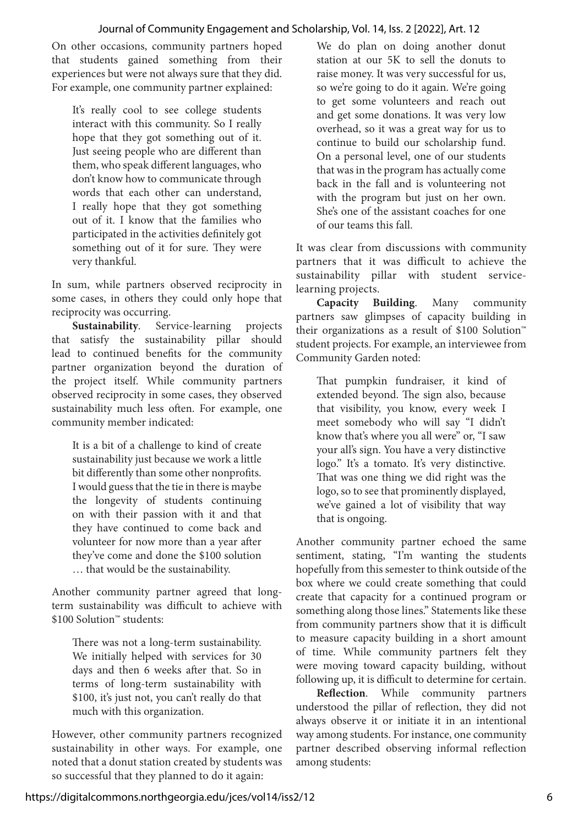On other occasions, community partners hoped that students gained something from their experiences but were not always sure that they did. For example, one community partner explained:

It's really cool to see college students interact with this community. So I really hope that they got something out of it. Just seeing people who are different than them, who speak different languages, who don't know how to communicate through words that each other can understand, I really hope that they got something out of it. I know that the families who participated in the activities definitely got something out of it for sure. They were very thankful.

In sum, while partners observed reciprocity in some cases, in others they could only hope that reciprocity was occurring.

**Sustainability**. Service-learning projects that satisfy the sustainability pillar should lead to continued benefits for the community partner organization beyond the duration of the project itself. While community partners observed reciprocity in some cases, they observed sustainability much less often. For example, one community member indicated:

It is a bit of a challenge to kind of create sustainability just because we work a little bit differently than some other nonprofits. I would guess that the tie in there is maybe the longevity of students continuing on with their passion with it and that they have continued to come back and volunteer for now more than a year after they've come and done the \$100 solution … that would be the sustainability.

Another community partner agreed that longterm sustainability was difficult to achieve with \$100 Solution™ students:

There was not a long-term sustainability. We initially helped with services for 30 days and then 6 weeks after that. So in terms of long-term sustainability with \$100, it's just not, you can't really do that much with this organization.

However, other community partners recognized sustainability in other ways. For example, one noted that a donut station created by students was so successful that they planned to do it again:

We do plan on doing another donut station at our 5K to sell the donuts to raise money. It was very successful for us, so we're going to do it again. We're going to get some volunteers and reach out and get some donations. It was very low overhead, so it was a great way for us to continue to build our scholarship fund. On a personal level, one of our students that was in the program has actually come back in the fall and is volunteering not with the program but just on her own. She's one of the assistant coaches for one of our teams this fall.

It was clear from discussions with community partners that it was difficult to achieve the sustainability pillar with student servicelearning projects.

**Capacity Building**. Many community partners saw glimpses of capacity building in their organizations as a result of \$100 Solution™ student projects. For example, an interviewee from Community Garden noted:

That pumpkin fundraiser, it kind of extended beyond. The sign also, because that visibility, you know, every week I meet somebody who will say "I didn't know that's where you all were" or, "I saw your all's sign. You have a very distinctive logo." It's a tomato. It's very distinctive. That was one thing we did right was the logo, so to see that prominently displayed, we've gained a lot of visibility that way that is ongoing.

Another community partner echoed the same sentiment, stating, "I'm wanting the students hopefully from this semester to think outside of the box where we could create something that could create that capacity for a continued program or something along those lines." Statements like these from community partners show that it is difficult to measure capacity building in a short amount of time. While community partners felt they were moving toward capacity building, without following up, it is difficult to determine for certain.

**Reflection**. While community partners understood the pillar of reflection, they did not always observe it or initiate it in an intentional way among students. For instance, one community partner described observing informal reflection among students: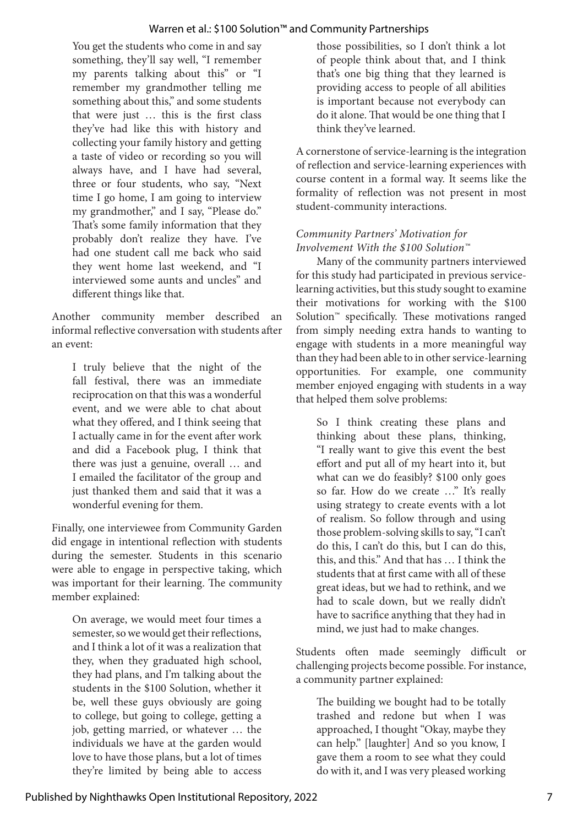You get the students who come in and say something, they'll say well, "I remember my parents talking about this" or "I remember my grandmother telling me something about this," and some students that were just … this is the first class they've had like this with history and collecting your family history and getting a taste of video or recording so you will always have, and I have had several, three or four students, who say, "Next time I go home, I am going to interview my grandmother," and I say, "Please do." That's some family information that they probably don't realize they have. I've had one student call me back who said they went home last weekend, and "I interviewed some aunts and uncles" and different things like that.

Another community member described an informal reflective conversation with students after an event:

I truly believe that the night of the fall festival, there was an immediate reciprocation on that this was a wonderful event, and we were able to chat about what they offered, and I think seeing that I actually came in for the event after work and did a Facebook plug, I think that there was just a genuine, overall … and I emailed the facilitator of the group and just thanked them and said that it was a wonderful evening for them.

Finally, one interviewee from Community Garden did engage in intentional reflection with students during the semester. Students in this scenario were able to engage in perspective taking, which was important for their learning. The community member explained:

On average, we would meet four times a semester, so we would get their reflections, and I think a lot of it was a realization that they, when they graduated high school, they had plans, and I'm talking about the students in the \$100 Solution, whether it be, well these guys obviously are going to college, but going to college, getting a job, getting married, or whatever … the individuals we have at the garden would love to have those plans, but a lot of times they're limited by being able to access

those possibilities, so I don't think a lot of people think about that, and I think that's one big thing that they learned is providing access to people of all abilities is important because not everybody can do it alone. That would be one thing that I think they've learned.

A cornerstone of service-learning is the integration of reflection and service-learning experiences with course content in a formal way. It seems like the formality of reflection was not present in most student-community interactions.

# *Community Partners' Motivation for Involvement With the \$100 Solution™*

Many of the community partners interviewed for this study had participated in previous servicelearning activities, but this study sought to examine their motivations for working with the \$100 Solution™ specifically. These motivations ranged from simply needing extra hands to wanting to engage with students in a more meaningful way than they had been able to in other service-learning opportunities. For example, one community member enjoyed engaging with students in a way that helped them solve problems:

So I think creating these plans and thinking about these plans, thinking, "I really want to give this event the best effort and put all of my heart into it, but what can we do feasibly? \$100 only goes so far. How do we create …" It's really using strategy to create events with a lot of realism. So follow through and using those problem-solving skills to say, "I can't do this, I can't do this, but I can do this, this, and this." And that has … I think the students that at first came with all of these great ideas, but we had to rethink, and we had to scale down, but we really didn't have to sacrifice anything that they had in mind, we just had to make changes.

Students often made seemingly difficult or challenging projects become possible. For instance, a community partner explained:

The building we bought had to be totally trashed and redone but when I was approached, I thought "Okay, maybe they can help." [laughter] And so you know, I gave them a room to see what they could do with it, and I was very pleased working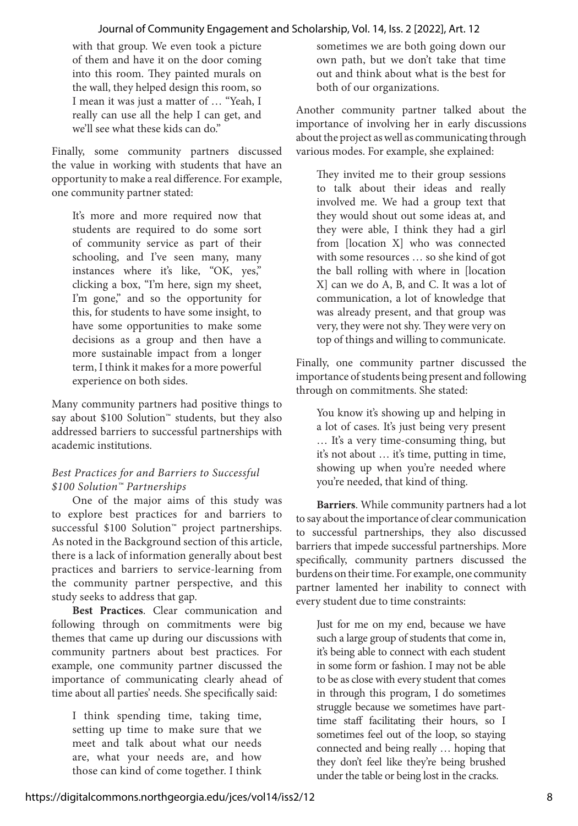with that group. We even took a picture of them and have it on the door coming into this room. They painted murals on the wall, they helped design this room, so I mean it was just a matter of … "Yeah, I really can use all the help I can get, and we'll see what these kids can do."

Finally, some community partners discussed the value in working with students that have an opportunity to make a real difference. For example, one community partner stated:

It's more and more required now that students are required to do some sort of community service as part of their schooling, and I've seen many, many instances where it's like, "OK, yes," clicking a box, "I'm here, sign my sheet, I'm gone," and so the opportunity for this, for students to have some insight, to have some opportunities to make some decisions as a group and then have a more sustainable impact from a longer term, I think it makes for a more powerful experience on both sides.

Many community partners had positive things to say about \$100 Solution™ students, but they also addressed barriers to successful partnerships with academic institutions.

# *Best Practices for and Barriers to Successful \$100 Solution™ Partnerships*

One of the major aims of this study was to explore best practices for and barriers to successful \$100 Solution™ project partnerships. As noted in the Background section of this article, there is a lack of information generally about best practices and barriers to service-learning from the community partner perspective, and this study seeks to address that gap.

**Best Practices**. Clear communication and following through on commitments were big themes that came up during our discussions with community partners about best practices. For example, one community partner discussed the importance of communicating clearly ahead of time about all parties' needs. She specifically said:

I think spending time, taking time, setting up time to make sure that we meet and talk about what our needs are, what your needs are, and how those can kind of come together. I think sometimes we are both going down our own path, but we don't take that time out and think about what is the best for both of our organizations.

Another community partner talked about the importance of involving her in early discussions about the project as well as communicating through various modes. For example, she explained:

They invited me to their group sessions to talk about their ideas and really involved me. We had a group text that they would shout out some ideas at, and they were able, I think they had a girl from [location X] who was connected with some resources … so she kind of got the ball rolling with where in [location X] can we do A, B, and C. It was a lot of communication, a lot of knowledge that was already present, and that group was very, they were not shy. They were very on top of things and willing to communicate.

Finally, one community partner discussed the importance of students being present and following through on commitments. She stated:

You know it's showing up and helping in a lot of cases. It's just being very present … It's a very time-consuming thing, but it's not about … it's time, putting in time, showing up when you're needed where you're needed, that kind of thing.

**Barriers**. While community partners had a lot to say about the importance of clear communication to successful partnerships, they also discussed barriers that impede successful partnerships. More specifically, community partners discussed the burdens on their time. For example, one community partner lamented her inability to connect with every student due to time constraints:

Just for me on my end, because we have such a large group of students that come in, it's being able to connect with each student in some form or fashion. I may not be able to be as close with every student that comes in through this program, I do sometimes struggle because we sometimes have parttime staff facilitating their hours, so I sometimes feel out of the loop, so staying connected and being really … hoping that they don't feel like they're being brushed under the table or being lost in the cracks.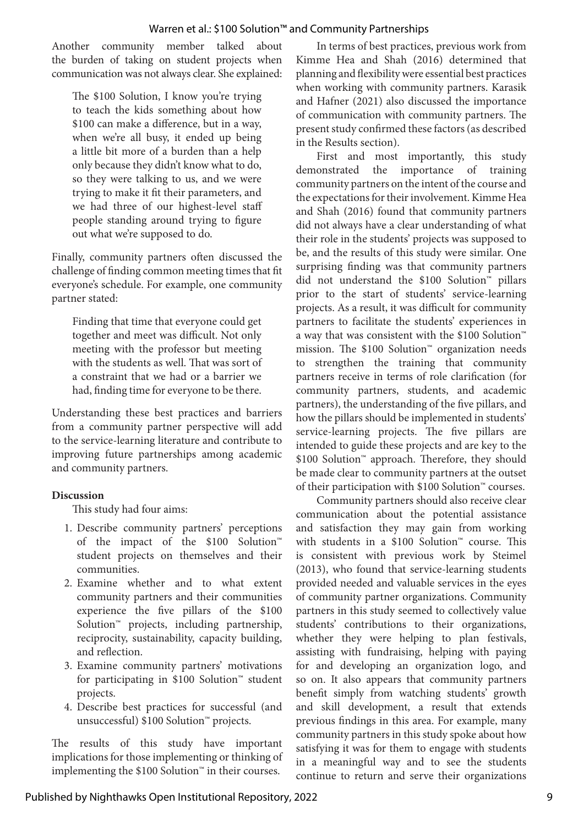Another community member talked about the burden of taking on student projects when communication was not always clear. She explained:

The \$100 Solution, I know you're trying to teach the kids something about how \$100 can make a difference, but in a way, when we're all busy, it ended up being a little bit more of a burden than a help only because they didn't know what to do, so they were talking to us, and we were trying to make it fit their parameters, and we had three of our highest-level staff people standing around trying to figure out what we're supposed to do.

Finally, community partners often discussed the challenge of finding common meeting times that fit everyone's schedule. For example, one community partner stated:

Finding that time that everyone could get together and meet was difficult. Not only meeting with the professor but meeting with the students as well. That was sort of a constraint that we had or a barrier we had, finding time for everyone to be there.

Understanding these best practices and barriers from a community partner perspective will add to the service-learning literature and contribute to improving future partnerships among academic and community partners.

#### **Discussion**

This study had four aims:

- 1. Describe community partners' perceptions of the impact of the \$100 Solution™ student projects on themselves and their communities.
- 2. Examine whether and to what extent community partners and their communities experience the five pillars of the \$100 Solution™ projects, including partnership, reciprocity, sustainability, capacity building, and reflection.
- 3. Examine community partners' motivations for participating in \$100 Solution™ student projects.
- 4. Describe best practices for successful (and unsuccessful) \$100 Solution™ projects.

The results of this study have important implications for those implementing or thinking of implementing the \$100 Solution™ in their courses.

In terms of best practices, previous work from Kimme Hea and Shah (2016) determined that planning and flexibility were essential best practices when working with community partners. Karasik and Hafner (2021) also discussed the importance of communication with community partners. The present study confirmed these factors (as described in the Results section).

First and most importantly, this study demonstrated the importance of training community partners on the intent of the course and the expectations for their involvement. Kimme Hea and Shah (2016) found that community partners did not always have a clear understanding of what their role in the students' projects was supposed to be, and the results of this study were similar. One surprising finding was that community partners did not understand the \$100 Solution™ pillars prior to the start of students' service-learning projects. As a result, it was difficult for community partners to facilitate the students' experiences in a way that was consistent with the \$100 Solution™ mission. The \$100 Solution™ organization needs to strengthen the training that community partners receive in terms of role clarification (for community partners, students, and academic partners), the understanding of the five pillars, and how the pillars should be implemented in students' service-learning projects. The five pillars are intended to guide these projects and are key to the \$100 Solution™ approach. Therefore, they should be made clear to community partners at the outset of their participation with \$100 Solution™ courses.

Community partners should also receive clear communication about the potential assistance and satisfaction they may gain from working with students in a \$100 Solution™ course. This is consistent with previous work by Steimel (2013), who found that service-learning students provided needed and valuable services in the eyes of community partner organizations. Community partners in this study seemed to collectively value students' contributions to their organizations, whether they were helping to plan festivals, assisting with fundraising, helping with paying for and developing an organization logo, and so on. It also appears that community partners benefit simply from watching students' growth and skill development, a result that extends previous findings in this area. For example, many community partners in this study spoke about how satisfying it was for them to engage with students in a meaningful way and to see the students continue to return and serve their organizations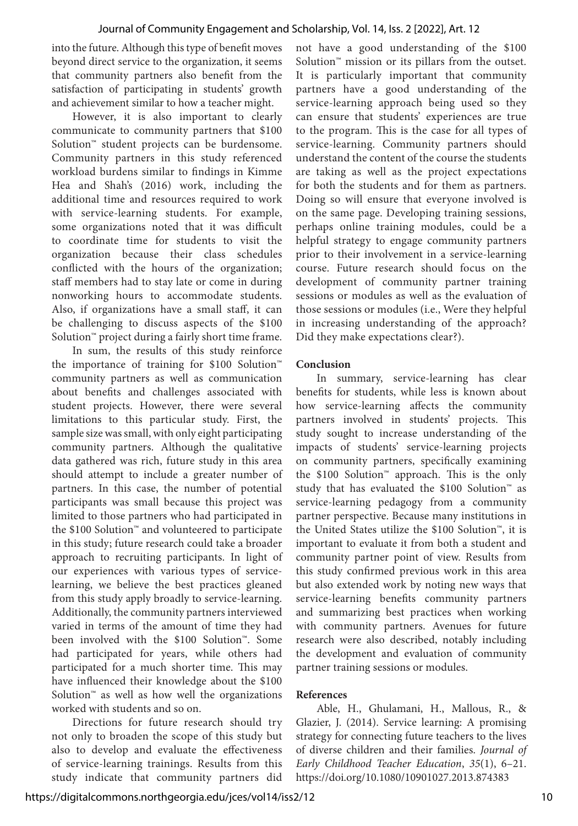into the future. Although this type of benefit moves beyond direct service to the organization, it seems that community partners also benefit from the satisfaction of participating in students' growth and achievement similar to how a teacher might.

However, it is also important to clearly communicate to community partners that \$100 Solution™ student projects can be burdensome. Community partners in this study referenced workload burdens similar to findings in Kimme Hea and Shah's (2016) work, including the additional time and resources required to work with service-learning students. For example, some organizations noted that it was difficult to coordinate time for students to visit the organization because their class schedules conflicted with the hours of the organization; staff members had to stay late or come in during nonworking hours to accommodate students. Also, if organizations have a small staff, it can be challenging to discuss aspects of the \$100 Solution™ project during a fairly short time frame.

In sum, the results of this study reinforce the importance of training for \$100 Solution™ community partners as well as communication about benefits and challenges associated with student projects. However, there were several limitations to this particular study. First, the sample size was small, with only eight participating community partners. Although the qualitative data gathered was rich, future study in this area should attempt to include a greater number of partners. In this case, the number of potential participants was small because this project was limited to those partners who had participated in the \$100 Solution™ and volunteered to participate in this study; future research could take a broader approach to recruiting participants. In light of our experiences with various types of servicelearning, we believe the best practices gleaned from this study apply broadly to service-learning. Additionally, the community partners interviewed varied in terms of the amount of time they had been involved with the \$100 Solution™. Some had participated for years, while others had participated for a much shorter time. This may have influenced their knowledge about the \$100 Solution™ as well as how well the organizations worked with students and so on.

Directions for future research should try not only to broaden the scope of this study but also to develop and evaluate the effectiveness of service-learning trainings. Results from this study indicate that community partners did not have a good understanding of the \$100 Solution™ mission or its pillars from the outset. It is particularly important that community partners have a good understanding of the service-learning approach being used so they can ensure that students' experiences are true to the program. This is the case for all types of service-learning. Community partners should understand the content of the course the students are taking as well as the project expectations for both the students and for them as partners. Doing so will ensure that everyone involved is on the same page. Developing training sessions, perhaps online training modules, could be a helpful strategy to engage community partners prior to their involvement in a service-learning course. Future research should focus on the development of community partner training sessions or modules as well as the evaluation of those sessions or modules (i.e., Were they helpful in increasing understanding of the approach? Did they make expectations clear?).

#### **Conclusion**

In summary, service-learning has clear benefits for students, while less is known about how service-learning affects the community partners involved in students' projects. This study sought to increase understanding of the impacts of students' service-learning projects on community partners, specifically examining the \$100 Solution™ approach. This is the only study that has evaluated the \$100 Solution™ as service-learning pedagogy from a community partner perspective. Because many institutions in the United States utilize the \$100 Solution™, it is important to evaluate it from both a student and community partner point of view. Results from this study confirmed previous work in this area but also extended work by noting new ways that service-learning benefits community partners and summarizing best practices when working with community partners. Avenues for future research were also described, notably including the development and evaluation of community partner training sessions or modules.

#### **References**

Able, H., Ghulamani, H., Mallous, R., & Glazier, J. (2014). Service learning: A promising strategy for connecting future teachers to the lives of diverse children and their families. *Journal of Early Childhood Teacher Education*, *35*(1), 6–21. https://doi.org/10.1080/10901027.2013.874383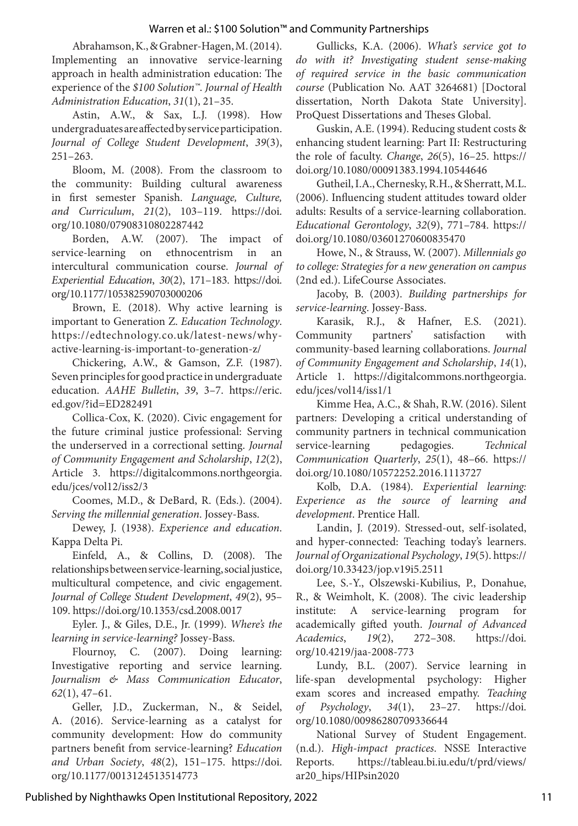Abrahamson, K., & Grabner-Hagen, M. (2014). Implementing an innovative service-learning approach in health administration education: The experience of the *\$100 Solution™*. *Journal of Health Administration Education*, *31*(1), 21–35.

Astin, A.W., & Sax, L.J. (1998). How undergraduates are affected by service participation. *Journal of College Student Development*, *39*(3), 251–263.

Bloom, M. (2008). From the classroom to the community: Building cultural awareness in first semester Spanish. *Language, Culture, and Curriculum*, *21*(2), 103–119. https://doi. org/10.1080/07908310802287442

Borden, A.W. (2007). The impact of service-learning on ethnocentrism in an intercultural communication course. *Journal of Experiential Education*, *30*(2), 171–183. https://doi. org/10.1177/105382590703000206

Brown, E. (2018). Why active learning is important to Generation Z. *Education Technology*. https://edtechnology.co.uk/latest-news/whyactive-learning-is-important-to-generation-z/

Chickering, A.W., & Gamson, Z.F. (1987). Seven principles for good practice in undergraduate education. *AAHE Bulletin*, *39*, 3–7. https://eric. ed.gov/?id=ED282491

Collica-Cox, K. (2020). Civic engagement for the future criminal justice professional: Serving the underserved in a correctional setting. *Journal of Community Engagement and Scholarship*, *12*(2), Article 3. https://digitalcommons.northgeorgia. edu/jces/vol12/iss2/3

Coomes, M.D., & DeBard, R. (Eds.). (2004). *Serving the millennial generation*. Jossey-Bass.

Dewey, J. (1938). *Experience and education*. Kappa Delta Pi.

Einfeld, A., & Collins, D. (2008). The relationships between service-learning, social justice, multicultural competence, and civic engagement. *Journal of College Student Development*, *49*(2), 95– 109. https://doi.org/10.1353/csd.2008.0017

Eyler. J., & Giles, D.E., Jr. (1999). *Where's the learning in service-learning?* Jossey-Bass.

Flournoy, C. (2007). Doing learning: Investigative reporting and service learning. *Journalism & Mass Communication Educator*, *62*(1), 47–61.

Geller, J.D., Zuckerman, N., & Seidel, A. (2016). Service-learning as a catalyst for community development: How do community partners benefit from service-learning? *Education and Urban Society*, *48*(2), 151–175. https://doi. org/10.1177/0013124513514773

Gullicks, K.A. (2006). *What's service got to do with it? Investigating student sense-making of required service in the basic communication course* (Publication No. AAT 3264681) [Doctoral dissertation, North Dakota State University]. ProQuest Dissertations and Theses Global.

Guskin, A.E. (1994). Reducing student costs & enhancing student learning: Part II: Restructuring the role of faculty. *Change*, *26*(5), 16–25. https:// doi.org/10.1080/00091383.1994.10544646

Gutheil, I.A., Chernesky, R.H., & Sherratt, M.L. (2006). Influencing student attitudes toward older adults: Results of a service-learning collaboration. *Educational Gerontology*, *32*(9), 771–784. https:// doi.org/10.1080/03601270600835470

Howe, N., & Strauss, W. (2007). *Millennials go to college: Strategies for a new generation on campus* (2nd ed.). LifeCourse Associates.

Jacoby, B. (2003). *Building partnerships for service-learning*. Jossey-Bass.

Karasik, R.J., & Hafner, E.S. (2021). Community partners' satisfaction with community-based learning collaborations. *Journal of Community Engagement and Scholarship*, *14*(1), Article 1. https://digitalcommons.northgeorgia. edu/jces/vol14/iss1/1

Kimme Hea, A.C., & Shah, R.W. (2016). Silent partners: Developing a critical understanding of community partners in technical communication service-learning pedagogies. *Technical Communication Quarterly*, *25*(1), 48–66. https:// doi.org/10.1080/10572252.2016.1113727

Kolb, D.A. (1984). *Experiential learning: Experience as the source of learning and development*. Prentice Hall.

Landin, J. (2019). Stressed-out, self-isolated, and hyper-connected: Teaching today's learners. *Journal of Organizational Psychology*, *19*(5). https:// doi.org/10.33423/jop.v19i5.2511

Lee, S.-Y., Olszewski-Kubilius, P., Donahue, R., & Weimholt, K. (2008). The civic leadership institute: A service-learning program for academically gifted youth. *Journal of Advanced Academics*, *19*(2), 272–308. https://doi. org/10.4219/jaa-2008-773

Lundy, B.L. (2007). Service learning in life-span developmental psychology: Higher exam scores and increased empathy. *Teaching of Psychology*, *34*(1), 23–27. https://doi. org/10.1080/00986280709336644

National Survey of Student Engagement. (n.d.). *High-impact practices*. NSSE Interactive Reports. https://tableau.bi.iu.edu/t/prd/views/ ar20\_hips/HIPsin2020